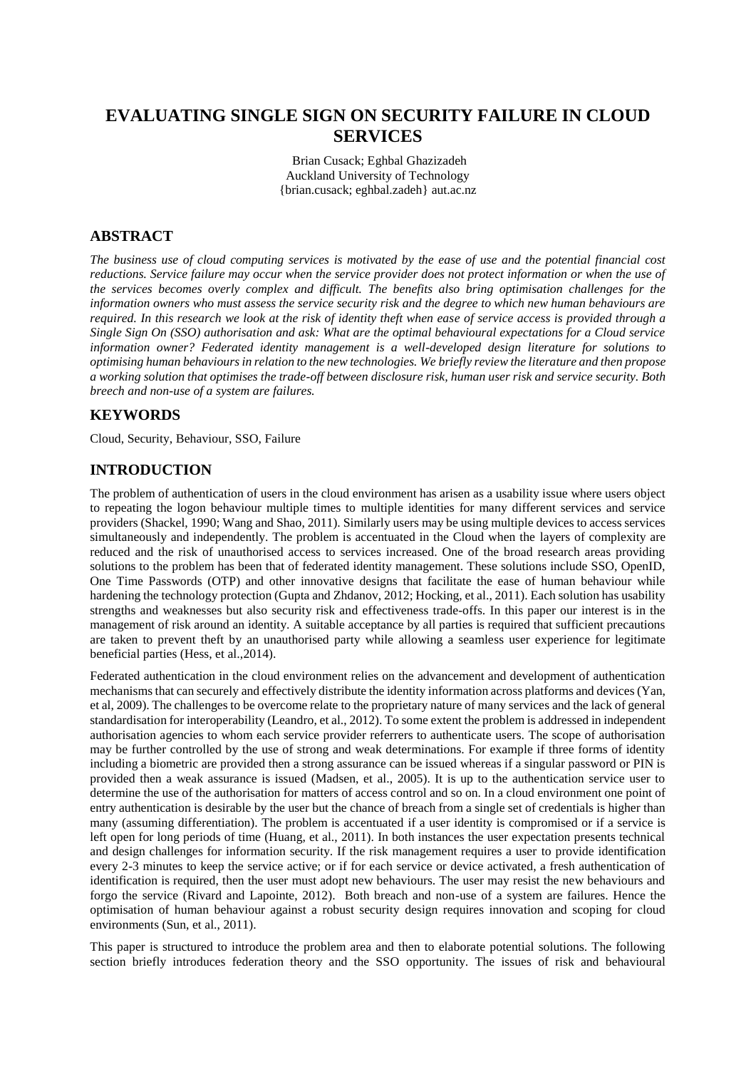# **EVALUATING SINGLE SIGN ON SECURITY FAILURE IN CLOUD SERVICES**

Brian Cusack; Eghbal Ghazizadeh Auckland University of Technology {brian.cusack; eghbal.zadeh} aut.ac.nz

## **ABSTRACT**

*The business use of cloud computing services is motivated by the ease of use and the potential financial cost reductions. Service failure may occur when the service provider does not protect information or when the use of the services becomes overly complex and difficult. The benefits also bring optimisation challenges for the information owners who must assess the service security risk and the degree to which new human behaviours are required. In this research we look at the risk of identity theft when ease of service access is provided through a Single Sign On (SSO) authorisation and ask: What are the optimal behavioural expectations for a Cloud service information owner? Federated identity management is a well-developed design literature for solutions to optimising human behaviours in relation to the new technologies. We briefly review the literature and then propose a working solution that optimises the trade-off between disclosure risk, human user risk and service security. Both breech and non-use of a system are failures.*

#### **KEYWORDS**

Cloud, Security, Behaviour, SSO, Failure

#### **INTRODUCTION**

The problem of authentication of users in the cloud environment has arisen as a usability issue where users object to repeating the logon behaviour multiple times to multiple identities for many different services and service providers (Shackel, 1990; Wang and Shao, 2011). Similarly users may be using multiple devices to access services simultaneously and independently. The problem is accentuated in the Cloud when the layers of complexity are reduced and the risk of unauthorised access to services increased. One of the broad research areas providing solutions to the problem has been that of federated identity management. These solutions include SSO, OpenID, One Time Passwords (OTP) and other innovative designs that facilitate the ease of human behaviour while hardening the technology protection (Gupta and Zhdanov, 2012; Hocking, et al., 2011). Each solution has usability strengths and weaknesses but also security risk and effectiveness trade-offs. In this paper our interest is in the management of risk around an identity. A suitable acceptance by all parties is required that sufficient precautions are taken to prevent theft by an unauthorised party while allowing a seamless user experience for legitimate beneficial parties (Hess, et al.,2014).

Federated authentication in the cloud environment relies on the advancement and development of authentication mechanisms that can securely and effectively distribute the identity information across platforms and devices (Yan, et al, 2009). The challenges to be overcome relate to the proprietary nature of many services and the lack of general standardisation for interoperability (Leandro, et al., 2012). To some extent the problem is addressed in independent authorisation agencies to whom each service provider referrers to authenticate users. The scope of authorisation may be further controlled by the use of strong and weak determinations. For example if three forms of identity including a biometric are provided then a strong assurance can be issued whereas if a singular password or PIN is provided then a weak assurance is issued (Madsen, et al., 2005). It is up to the authentication service user to determine the use of the authorisation for matters of access control and so on. In a cloud environment one point of entry authentication is desirable by the user but the chance of breach from a single set of credentials is higher than many (assuming differentiation). The problem is accentuated if a user identity is compromised or if a service is left open for long periods of time (Huang, et al., 2011). In both instances the user expectation presents technical and design challenges for information security. If the risk management requires a user to provide identification every 2-3 minutes to keep the service active; or if for each service or device activated, a fresh authentication of identification is required, then the user must adopt new behaviours. The user may resist the new behaviours and forgo the service (Rivard and Lapointe, 2012). Both breach and non-use of a system are failures. Hence the optimisation of human behaviour against a robust security design requires innovation and scoping for cloud environments (Sun, et al., 2011).

This paper is structured to introduce the problem area and then to elaborate potential solutions. The following section briefly introduces federation theory and the SSO opportunity. The issues of risk and behavioural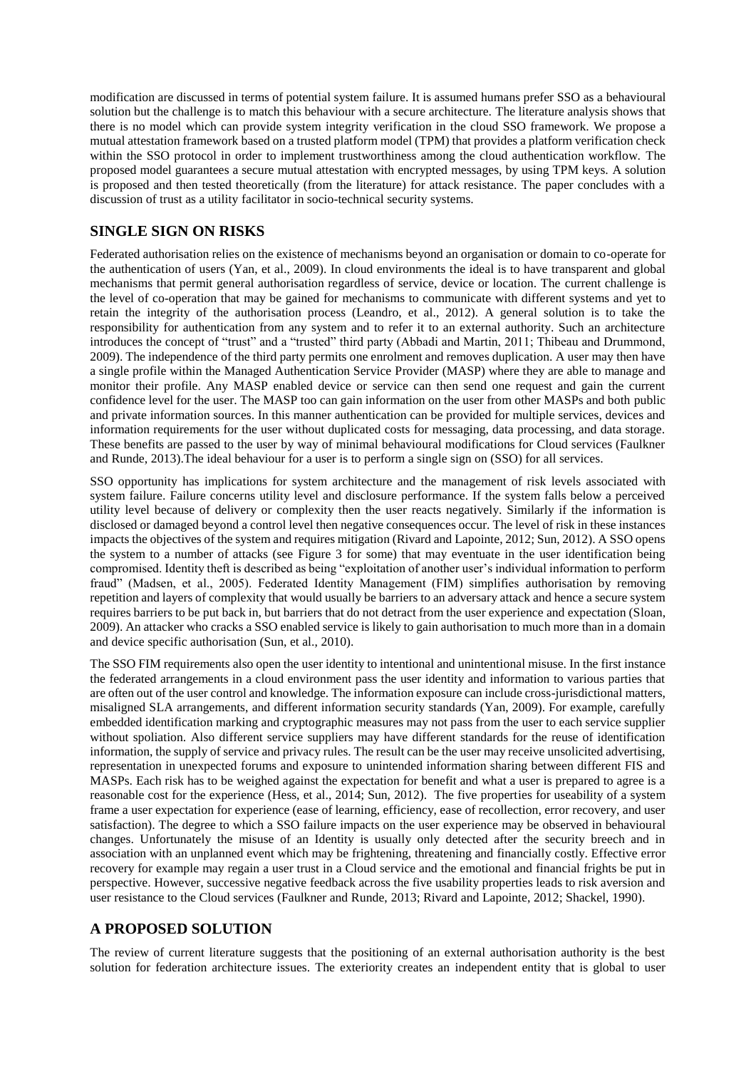modification are discussed in terms of potential system failure. It is assumed humans prefer SSO as a behavioural solution but the challenge is to match this behaviour with a secure architecture. The literature analysis shows that there is no model which can provide system integrity verification in the cloud SSO framework. We propose a mutual attestation framework based on a trusted platform model (TPM) that provides a platform verification check within the SSO protocol in order to implement trustworthiness among the cloud authentication workflow. The proposed model guarantees a secure mutual attestation with encrypted messages, by using TPM keys. A solution is proposed and then tested theoretically (from the literature) for attack resistance. The paper concludes with a discussion of trust as a utility facilitator in socio-technical security systems.

## **SINGLE SIGN ON RISKS**

Federated authorisation relies on the existence of mechanisms beyond an organisation or domain to co-operate for the authentication of users (Yan, et al., 2009). In cloud environments the ideal is to have transparent and global mechanisms that permit general authorisation regardless of service, device or location. The current challenge is the level of co-operation that may be gained for mechanisms to communicate with different systems and yet to retain the integrity of the authorisation process (Leandro, et al., 2012). A general solution is to take the responsibility for authentication from any system and to refer it to an external authority. Such an architecture introduces the concept of "trust" and a "trusted" third party (Abbadi and Martin, 2011; Thibeau and Drummond, 2009). The independence of the third party permits one enrolment and removes duplication. A user may then have a single profile within the Managed Authentication Service Provider (MASP) where they are able to manage and monitor their profile. Any MASP enabled device or service can then send one request and gain the current confidence level for the user. The MASP too can gain information on the user from other MASPs and both public and private information sources. In this manner authentication can be provided for multiple services, devices and information requirements for the user without duplicated costs for messaging, data processing, and data storage. These benefits are passed to the user by way of minimal behavioural modifications for Cloud services (Faulkner and Runde, 2013).The ideal behaviour for a user is to perform a single sign on (SSO) for all services.

SSO opportunity has implications for system architecture and the management of risk levels associated with system failure. Failure concerns utility level and disclosure performance. If the system falls below a perceived utility level because of delivery or complexity then the user reacts negatively. Similarly if the information is disclosed or damaged beyond a control level then negative consequences occur. The level of risk in these instances impacts the objectives of the system and requires mitigation (Rivard and Lapointe, 2012; Sun, 2012). A SSO opens the system to a number of attacks (see Figure 3 for some) that may eventuate in the user identification being compromised. Identity theft is described as being "exploitation of another user's individual information to perform fraud" (Madsen, et al., 2005). Federated Identity Management (FIM) simplifies authorisation by removing repetition and layers of complexity that would usually be barriers to an adversary attack and hence a secure system requires barriers to be put back in, but barriers that do not detract from the user experience and expectation (Sloan, 2009). An attacker who cracks a SSO enabled service is likely to gain authorisation to much more than in a domain and device specific authorisation (Sun, et al., 2010).

The SSO FIM requirements also open the user identity to intentional and unintentional misuse. In the first instance the federated arrangements in a cloud environment pass the user identity and information to various parties that are often out of the user control and knowledge. The information exposure can include cross-jurisdictional matters, misaligned SLA arrangements, and different information security standards (Yan, 2009). For example, carefully embedded identification marking and cryptographic measures may not pass from the user to each service supplier without spoliation. Also different service suppliers may have different standards for the reuse of identification information, the supply of service and privacy rules. The result can be the user may receive unsolicited advertising, representation in unexpected forums and exposure to unintended information sharing between different FIS and MASPs. Each risk has to be weighed against the expectation for benefit and what a user is prepared to agree is a reasonable cost for the experience (Hess, et al., 2014; Sun, 2012). The five properties for useability of a system frame a user expectation for experience (ease of learning, efficiency, ease of recollection, error recovery, and user satisfaction). The degree to which a SSO failure impacts on the user experience may be observed in behavioural changes. Unfortunately the misuse of an Identity is usually only detected after the security breech and in association with an unplanned event which may be frightening, threatening and financially costly. Effective error recovery for example may regain a user trust in a Cloud service and the emotional and financial frights be put in perspective. However, successive negative feedback across the five usability properties leads to risk aversion and user resistance to the Cloud services (Faulkner and Runde, 2013; Rivard and Lapointe, 2012; Shackel, 1990).

## **A PROPOSED SOLUTION**

The review of current literature suggests that the positioning of an external authorisation authority is the best solution for federation architecture issues. The exteriority creates an independent entity that is global to user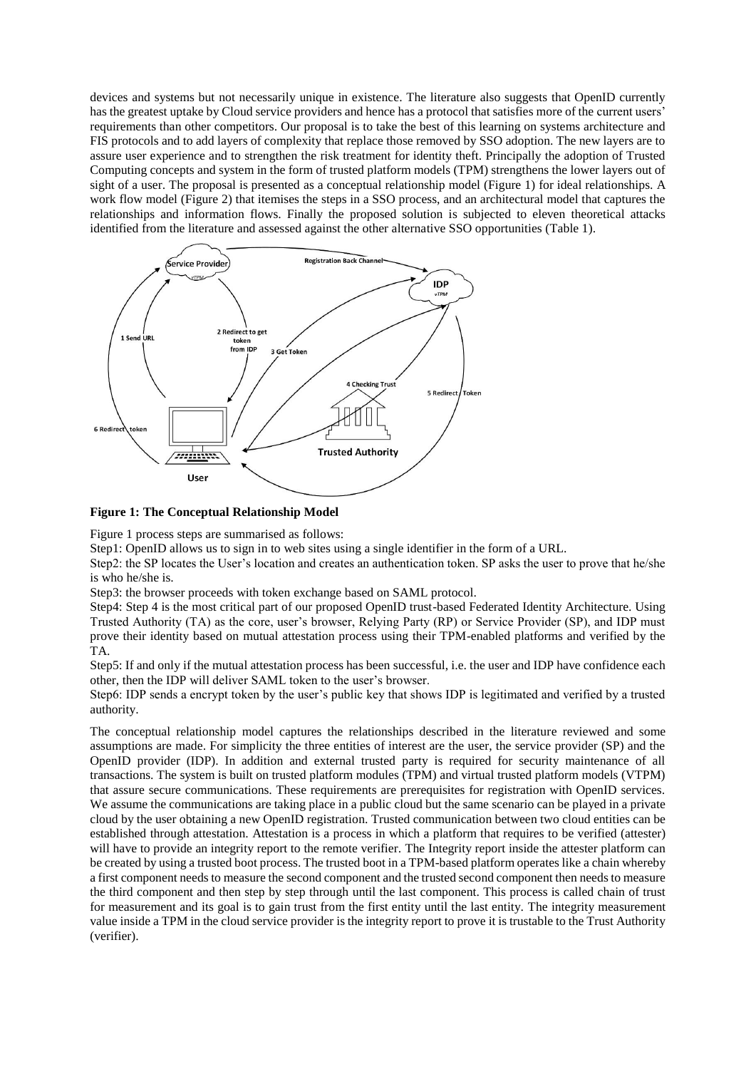devices and systems but not necessarily unique in existence. The literature also suggests that OpenID currently has the greatest uptake by Cloud service providers and hence has a protocol that satisfies more of the current users' requirements than other competitors. Our proposal is to take the best of this learning on systems architecture and FIS protocols and to add layers of complexity that replace those removed by SSO adoption. The new layers are to assure user experience and to strengthen the risk treatment for identity theft. Principally the adoption of Trusted Computing concepts and system in the form of trusted platform models (TPM) strengthens the lower layers out of sight of a user. The proposal is presented as a conceptual relationship model (Figure 1) for ideal relationships. A work flow model (Figure 2) that itemises the steps in a SSO process, and an architectural model that captures the relationships and information flows. Finally the proposed solution is subjected to eleven theoretical attacks identified from the literature and assessed against the other alternative SSO opportunities (Table 1).



**Figure 1: The Conceptual Relationship Model**

Figure 1 process steps are summarised as follows:

Step1: OpenID allows us to sign in to web sites using a single identifier in the form of a URL.

Step2: the SP locates the User's location and creates an authentication token. SP asks the user to prove that he/she is who he/she is.

Step3: the browser proceeds with token exchange based on SAML protocol.

Step4: Step 4 is the most critical part of our proposed OpenID trust-based Federated Identity Architecture. Using Trusted Authority (TA) as the core, user's browser, Relying Party (RP) or Service Provider (SP), and IDP must prove their identity based on mutual attestation process using their TPM-enabled platforms and verified by the TA.

Step5: If and only if the mutual attestation process has been successful, i.e. the user and IDP have confidence each other, then the IDP will deliver SAML token to the user's browser.

Step6: IDP sends a encrypt token by the user's public key that shows IDP is legitimated and verified by a trusted authority.

The conceptual relationship model captures the relationships described in the literature reviewed and some assumptions are made. For simplicity the three entities of interest are the user, the service provider (SP) and the OpenID provider (IDP). In addition and external trusted party is required for security maintenance of all transactions. The system is built on trusted platform modules (TPM) and virtual trusted platform models (VTPM) that assure secure communications. These requirements are prerequisites for registration with OpenID services. We assume the communications are taking place in a public cloud but the same scenario can be played in a private cloud by the user obtaining a new OpenID registration. Trusted communication between two cloud entities can be established through attestation. Attestation is a process in which a platform that requires to be verified (attester) will have to provide an integrity report to the remote verifier. The Integrity report inside the attester platform can be created by using a trusted boot process. The trusted boot in a TPM-based platform operates like a chain whereby a first component needs to measure the second component and the trusted second component then needs to measure the third component and then step by step through until the last component. This process is called chain of trust for measurement and its goal is to gain trust from the first entity until the last entity. The integrity measurement value inside a TPM in the cloud service provider is the integrity report to prove it is trustable to the Trust Authority (verifier).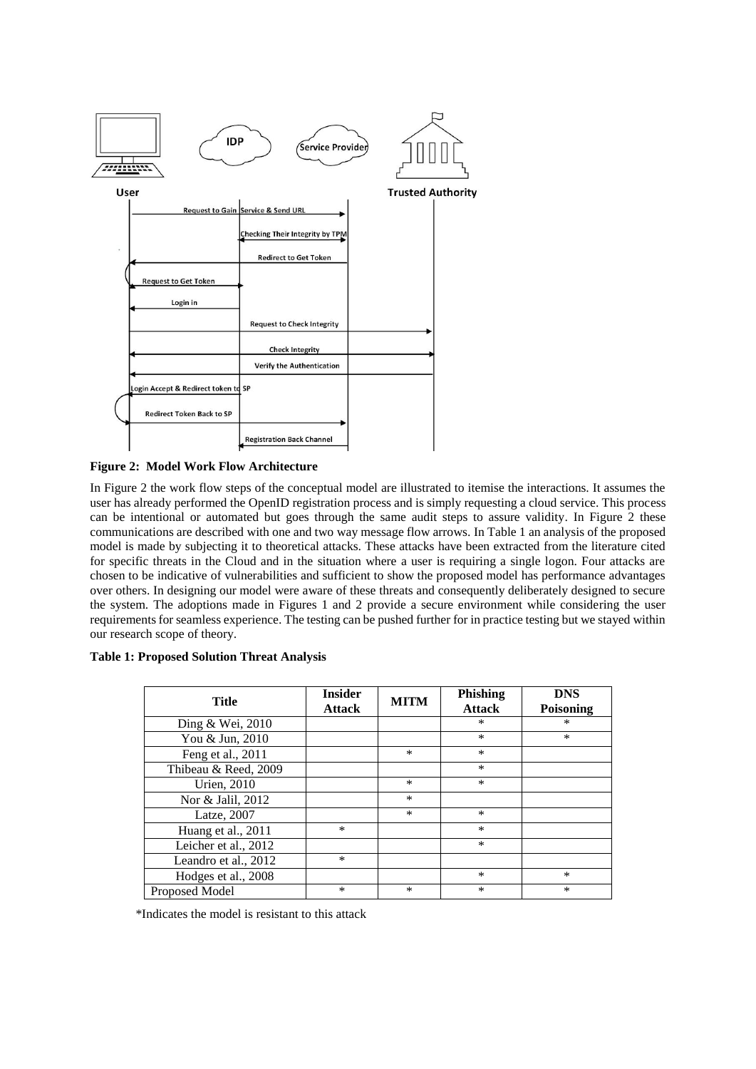

#### **Figure 2: Model Work Flow Architecture**

In Figure 2 the work flow steps of the conceptual model are illustrated to itemise the interactions. It assumes the user has already performed the OpenID registration process and is simply requesting a cloud service. This process can be intentional or automated but goes through the same audit steps to assure validity. In Figure 2 these communications are described with one and two way message flow arrows. In Table 1 an analysis of the proposed model is made by subjecting it to theoretical attacks. These attacks have been extracted from the literature cited for specific threats in the Cloud and in the situation where a user is requiring a single logon. Four attacks are chosen to be indicative of vulnerabilities and sufficient to show the proposed model has performance advantages over others. In designing our model were aware of these threats and consequently deliberately designed to secure the system. The adoptions made in Figures 1 and 2 provide a secure environment while considering the user requirements for seamless experience. The testing can be pushed further for in practice testing but we stayed within our research scope of theory.

| <b>Table 1: Proposed Solution Threat Analysis</b> |  |
|---------------------------------------------------|--|
|---------------------------------------------------|--|

| <b>Title</b>         | <b>Insider</b><br><b>Attack</b> | <b>MITM</b> | Phishing<br><b>Attack</b> | <b>DNS</b><br>Poisoning |
|----------------------|---------------------------------|-------------|---------------------------|-------------------------|
| Ding & Wei, 2010     |                                 |             | $\ast$                    | $\ast$                  |
| You & Jun, 2010      |                                 |             | $\ast$                    | $\ast$                  |
| Feng et al., 2011    |                                 | $\ast$      | $\ast$                    |                         |
| Thibeau & Reed, 2009 |                                 |             | $\ast$                    |                         |
| Urien, 2010          |                                 | $\ast$      | $\ast$                    |                         |
| Nor & Jalil, 2012    |                                 | $\ast$      |                           |                         |
| Latze, 2007          |                                 | $\ast$      | $\ast$                    |                         |
| Huang et al., 2011   | $\ast$                          |             | $\ast$                    |                         |
| Leicher et al., 2012 |                                 |             | $\ast$                    |                         |
| Leandro et al., 2012 | $\ast$                          |             |                           |                         |
| Hodges et al., 2008  |                                 |             | $\ast$                    | $\ast$                  |
| Proposed Model       | $\ast$                          | $\ast$      | $\ast$                    | $\ast$                  |

\*Indicates the model is resistant to this attack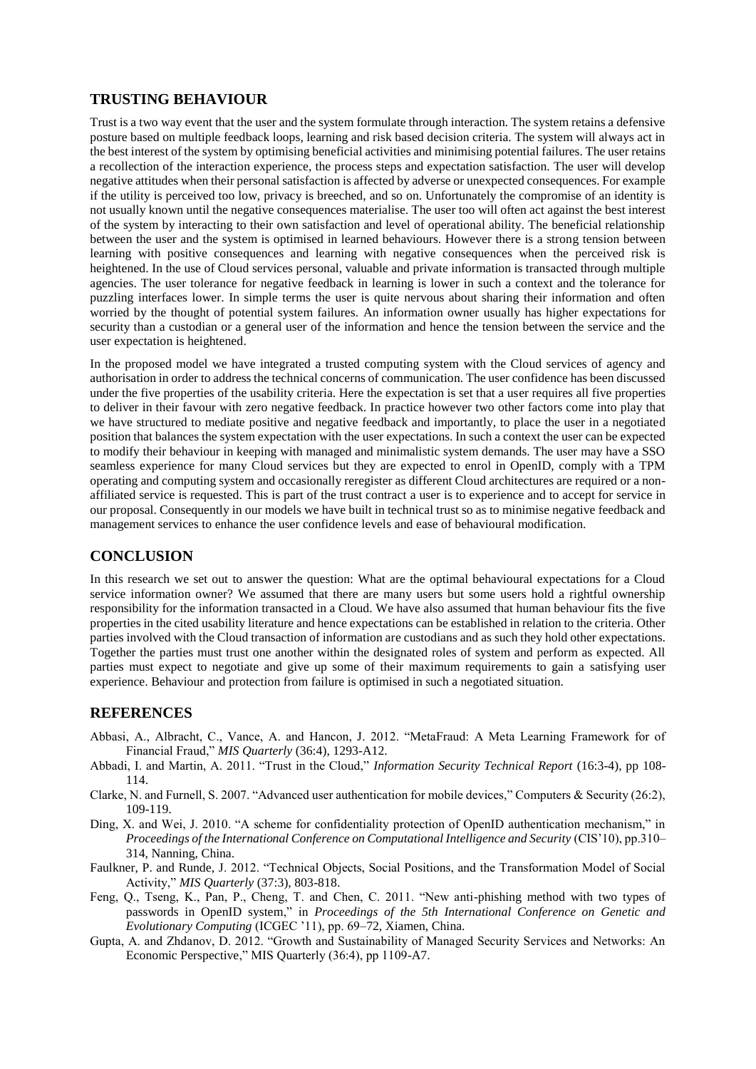## **TRUSTING BEHAVIOUR**

Trust is a two way event that the user and the system formulate through interaction. The system retains a defensive posture based on multiple feedback loops, learning and risk based decision criteria. The system will always act in the best interest of the system by optimising beneficial activities and minimising potential failures. The user retains a recollection of the interaction experience, the process steps and expectation satisfaction. The user will develop negative attitudes when their personal satisfaction is affected by adverse or unexpected consequences. For example if the utility is perceived too low, privacy is breeched, and so on. Unfortunately the compromise of an identity is not usually known until the negative consequences materialise. The user too will often act against the best interest of the system by interacting to their own satisfaction and level of operational ability. The beneficial relationship between the user and the system is optimised in learned behaviours. However there is a strong tension between learning with positive consequences and learning with negative consequences when the perceived risk is heightened. In the use of Cloud services personal, valuable and private information is transacted through multiple agencies. The user tolerance for negative feedback in learning is lower in such a context and the tolerance for puzzling interfaces lower. In simple terms the user is quite nervous about sharing their information and often worried by the thought of potential system failures. An information owner usually has higher expectations for security than a custodian or a general user of the information and hence the tension between the service and the user expectation is heightened.

In the proposed model we have integrated a trusted computing system with the Cloud services of agency and authorisation in order to address the technical concerns of communication. The user confidence has been discussed under the five properties of the usability criteria. Here the expectation is set that a user requires all five properties to deliver in their favour with zero negative feedback. In practice however two other factors come into play that we have structured to mediate positive and negative feedback and importantly, to place the user in a negotiated position that balances the system expectation with the user expectations. In such a context the user can be expected to modify their behaviour in keeping with managed and minimalistic system demands. The user may have a SSO seamless experience for many Cloud services but they are expected to enrol in OpenID, comply with a TPM operating and computing system and occasionally reregister as different Cloud architectures are required or a nonaffiliated service is requested. This is part of the trust contract a user is to experience and to accept for service in our proposal. Consequently in our models we have built in technical trust so as to minimise negative feedback and management services to enhance the user confidence levels and ease of behavioural modification.

## **CONCLUSION**

In this research we set out to answer the question: What are the optimal behavioural expectations for a Cloud service information owner? We assumed that there are many users but some users hold a rightful ownership responsibility for the information transacted in a Cloud. We have also assumed that human behaviour fits the five properties in the cited usability literature and hence expectations can be established in relation to the criteria. Other parties involved with the Cloud transaction of information are custodians and as such they hold other expectations. Together the parties must trust one another within the designated roles of system and perform as expected. All parties must expect to negotiate and give up some of their maximum requirements to gain a satisfying user experience. Behaviour and protection from failure is optimised in such a negotiated situation.

### **REFERENCES**

- Abbasi, A., Albracht, C., Vance, A. and Hancon, J. 2012. "MetaFraud: A Meta Learning Framework for of Financial Fraud," *MIS Quarterly* (36:4), 1293-A12.
- Abbadi, I. and Martin, A. 2011. "Trust in the Cloud," *Information Security Technical Report* (16:3-4), pp 108- 114.
- Clarke, N. and Furnell, S. 2007. "Advanced user authentication for mobile devices," Computers & Security (26:2), 109-119.
- Ding, X. and Wei, J. 2010. "A scheme for confidentiality protection of OpenID authentication mechanism," in *Proceedings of the International Conference on Computational Intelligence and Security* (CIS'10), pp.310– 314, Nanning, China.
- Faulkner, P. and Runde, J. 2012. "Technical Objects, Social Positions, and the Transformation Model of Social Activity," *MIS Quarterly* (37:3), 803-818.
- Feng, Q., Tseng, K., Pan, P., Cheng, T. and Chen, C. 2011. "New anti-phishing method with two types of passwords in OpenID system," in *Proceedings of the 5th International Conference on Genetic and Evolutionary Computing* (ICGEC '11), pp. 69–72, Xiamen, China.
- Gupta, A. and Zhdanov, D. 2012. "Growth and Sustainability of Managed Security Services and Networks: An Economic Perspective," MIS Quarterly (36:4), pp 1109-A7.